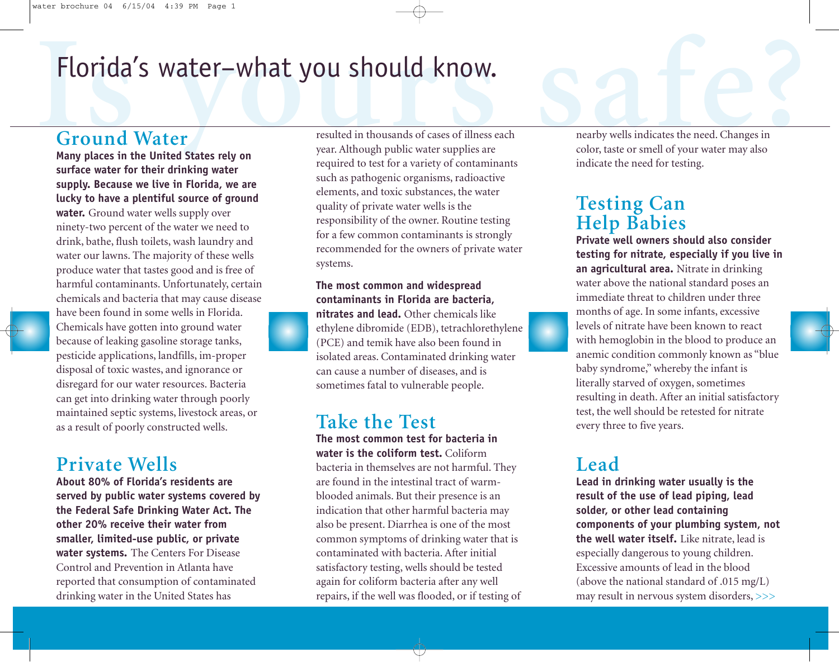# **Is a Florida's water-what you should know.**<br> **Is a resulted in thousands of cases of illness each**<br> **Is any places in the United States rely on**<br> **Is any places in the United States rely on**<br> **Is any places in the United** Florida's water–what you should know.

#### **Ground Water**

**Many places in the United States rely on surface water for their drinking water supply. Because we live in Florida, we are lucky to have a plentiful source of ground water.** Ground water wells supply over ninety-two percent of the water we need to drink, bathe, flush toilets, wash laundry and water our lawns. The majority of these wells produce water that tastes good and is free of harmful contaminants. Unfortunately, certain chemicals and bacteria that may cause disease have been found in some wells in Florida. Chemicals have gotten into ground water because of leaking gasoline storage tanks, pesticide applications, landfills, im-proper disposal of toxic wastes, and ignorance or disregard for our water resources. Bacteria can get into drinking water through poorly maintained septic systems, livestock areas, or as a result of poorly constructed wells.

#### **Private Wells**

**About 80% of Florida's residents are served by public water systems covered by the Federal Safe Drinking Water Act. The other 20% receive their water from smaller, limited-use public, or private water systems.** The Centers For Disease Control and Prevention in Atlanta have reported that consumption of contaminated drinking water in the United States has

year. Although public water supplies are required to test for a variety of contaminants such as pathogenic organisms, radioactive elements, and toxic substances, the water quality of private water wells is the responsibility of the owner. Routine testing for a few common contaminants is strongly recommended for the owners of private water systems.

#### **The most common and widespread contaminants in Florida are bacteria,**

**nitrates and lead.** Other chemicals like ethylene dibromide (EDB), tetrachlorethylene (PCE) and temik have also been found in isolated areas. Contaminated drinking water can cause a number of diseases, and is sometimes fatal to vulnerable people.

#### **Take the Test**

**The most common test for bacteria in water is the coliform test.** Coliform bacteria in themselves are not harmful. They are found in the intestinal tract of warmblooded animals. But their presence is an indication that other harmful bacteria may also be present. Diarrhea is one of the most common symptoms of drinking water that is contaminated with bacteria. After initial satisfactory testing, wells should be tested again for coliform bacteria after any well repairs, if the well was flooded, or if testing of nearby wells indicates the need. Changes in color, taste or smell of your water may also indicate the need for testing.

#### **Testing Can Help Babies**

**Private well owners should also consider testing for nitrate, especially if you live in an agricultural area.** Nitrate in drinking water above the national standard poses an immediate threat to children under three months of age. In some infants, excessive levels of nitrate have been known to react with hemoglobin in the blood to produce an anemic condition commonly known as "blue baby syndrome," whereby the infant is literally starved of oxygen, sometimes resulting in death. After an initial satisfactory test, the well should be retested for nitrate every three to five years.

### **Lead**

**Lead in drinking water usually is the result of the use of lead piping, lead solder, or other lead containing components of your plumbing system, not the well water itself.** Like nitrate, lead is especially dangerous to young children. Excessive amounts of lead in the blood (above the national standard of .015 mg/L) may result in nervous system disorders, >>>